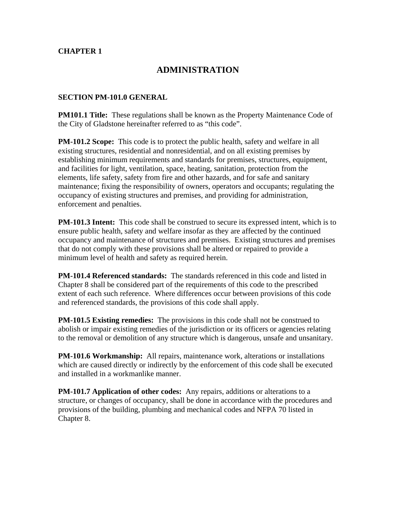#### **CHAPTER 1**

# **ADMINISTRATION**

#### **SECTION PM-101.0 GENERAL**

**PM101.1 Title:** These regulations shall be known as the Property Maintenance Code of the City of Gladstone hereinafter referred to as "this code".

**PM-101.2 Scope:** This code is to protect the public health, safety and welfare in all existing structures, residential and nonresidential, and on all existing premises by establishing minimum requirements and standards for premises, structures, equipment, and facilities for light, ventilation, space, heating, sanitation, protection from the elements, life safety, safety from fire and other hazards, and for safe and sanitary maintenance; fixing the responsibility of owners, operators and occupants; regulating the occupancy of existing structures and premises, and providing for administration, enforcement and penalties.

**PM-101.3 Intent:** This code shall be construed to secure its expressed intent, which is to ensure public health, safety and welfare insofar as they are affected by the continued occupancy and maintenance of structures and premises. Existing structures and premises that do not comply with these provisions shall be altered or repaired to provide a minimum level of health and safety as required herein.

**PM-101.4 Referenced standards:** The standards referenced in this code and listed in Chapter 8 shall be considered part of the requirements of this code to the prescribed extent of each such reference. Where differences occur between provisions of this code and referenced standards, the provisions of this code shall apply.

**PM-101.5 Existing remedies:** The provisions in this code shall not be construed to abolish or impair existing remedies of the jurisdiction or its officers or agencies relating to the removal or demolition of any structure which is dangerous, unsafe and unsanitary.

**PM-101.6 Workmanship:** All repairs, maintenance work, alterations or installations which are caused directly or indirectly by the enforcement of this code shall be executed and installed in a workmanlike manner.

**PM-101.7 Application of other codes:** Any repairs, additions or alterations to a structure, or changes of occupancy, shall be done in accordance with the procedures and provisions of the building, plumbing and mechanical codes and NFPA 70 listed in Chapter 8.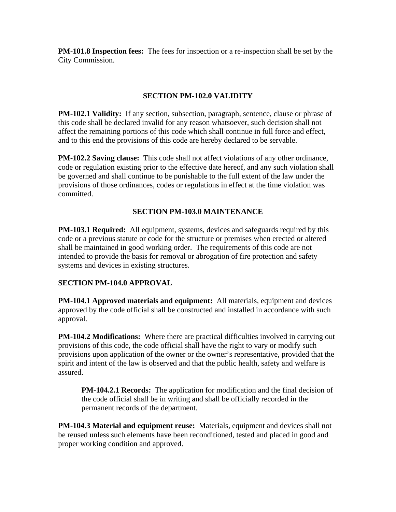**PM-101.8 Inspection fees:** The fees for inspection or a re-inspection shall be set by the City Commission.

#### **SECTION PM-102.0 VALIDITY**

**PM-102.1 Validity:** If any section, subsection, paragraph, sentence, clause or phrase of this code shall be declared invalid for any reason whatsoever, such decision shall not affect the remaining portions of this code which shall continue in full force and effect, and to this end the provisions of this code are hereby declared to be servable.

**PM-102.2 Saving clause:** This code shall not affect violations of any other ordinance, code or regulation existing prior to the effective date hereof, and any such violation shall be governed and shall continue to be punishable to the full extent of the law under the provisions of those ordinances, codes or regulations in effect at the time violation was committed.

## **SECTION PM-103.0 MAINTENANCE**

**PM-103.1 Required:** All equipment, systems, devices and safeguards required by this code or a previous statute or code for the structure or premises when erected or altered shall be maintained in good working order. The requirements of this code are not intended to provide the basis for removal or abrogation of fire protection and safety systems and devices in existing structures.

#### **SECTION PM-104.0 APPROVAL**

**PM-104.1 Approved materials and equipment:** All materials, equipment and devices approved by the code official shall be constructed and installed in accordance with such approval.

**PM-104.2 Modifications:** Where there are practical difficulties involved in carrying out provisions of this code, the code official shall have the right to vary or modify such provisions upon application of the owner or the owner's representative, provided that the spirit and intent of the law is observed and that the public health, safety and welfare is assured.

**PM-104.2.1 Records:** The application for modification and the final decision of the code official shall be in writing and shall be officially recorded in the permanent records of the department.

**PM-104.3 Material and equipment reuse:** Materials, equipment and devices shall not be reused unless such elements have been reconditioned, tested and placed in good and proper working condition and approved.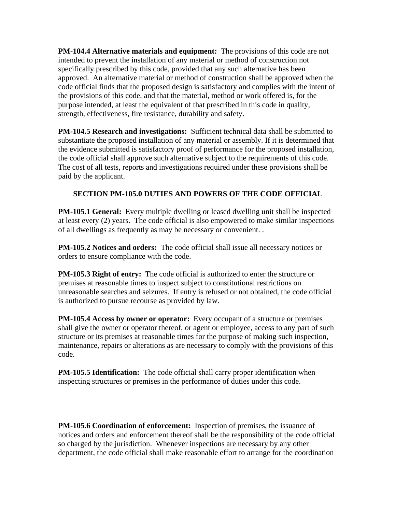**PM-104.4 Alternative materials and equipment:** The provisions of this code are not intended to prevent the installation of any material or method of construction not specifically prescribed by this code, provided that any such alternative has been approved. An alternative material or method of construction shall be approved when the code official finds that the proposed design is satisfactory and complies with the intent of the provisions of this code, and that the material, method or work offered is, for the purpose intended, at least the equivalent of that prescribed in this code in quality, strength, effectiveness, fire resistance, durability and safety.

**PM-104.5 Research and investigations:** Sufficient technical data shall be submitted to substantiate the proposed installation of any material or assembly. If it is determined that the evidence submitted is satisfactory proof of performance for the proposed installation, the code official shall approve such alternative subject to the requirements of this code. The cost of all tests, reports and investigations required under these provisions shall be paid by the applicant.

# **SECTION PM-105.0 DUTIES AND POWERS OF THE CODE OFFICIAL**

**PM-105.1 General:** Every multiple dwelling or leased dwelling unit shall be inspected at least every (2) years. The code official is also empowered to make similar inspections of all dwellings as frequently as may be necessary or convenient. .

**PM-105.2 Notices and orders:** The code official shall issue all necessary notices or orders to ensure compliance with the code.

**PM-105.3 Right of entry:** The code official is authorized to enter the structure or premises at reasonable times to inspect subject to constitutional restrictions on unreasonable searches and seizures. If entry is refused or not obtained, the code official is authorized to pursue recourse as provided by law.

**PM-105.4 Access by owner or operator:** Every occupant of a structure or premises shall give the owner or operator thereof, or agent or employee, access to any part of such structure or its premises at reasonable times for the purpose of making such inspection, maintenance, repairs or alterations as are necessary to comply with the provisions of this code.

**PM-105.5 Identification:** The code official shall carry proper identification when inspecting structures or premises in the performance of duties under this code.

**PM-105.6 Coordination of enforcement:** Inspection of premises, the issuance of notices and orders and enforcement thereof shall be the responsibility of the code official so charged by the jurisdiction. Whenever inspections are necessary by any other department, the code official shall make reasonable effort to arrange for the coordination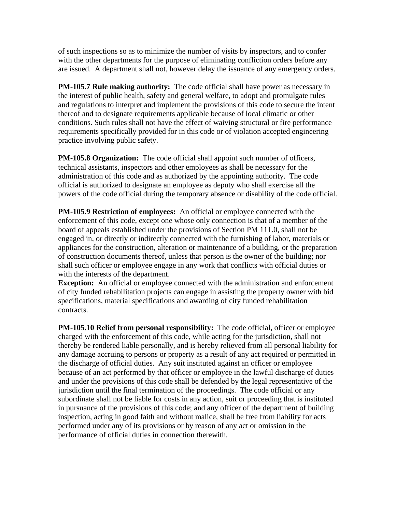of such inspections so as to minimize the number of visits by inspectors, and to confer with the other departments for the purpose of eliminating confliction orders before any are issued. A department shall not, however delay the issuance of any emergency orders.

**PM-105.7 Rule making authority:** The code official shall have power as necessary in the interest of public health, safety and general welfare, to adopt and promulgate rules and regulations to interpret and implement the provisions of this code to secure the intent thereof and to designate requirements applicable because of local climatic or other conditions. Such rules shall not have the effect of waiving structural or fire performance requirements specifically provided for in this code or of violation accepted engineering practice involving public safety.

**PM-105.8 Organization:** The code official shall appoint such number of officers, technical assistants, inspectors and other employees as shall be necessary for the administration of this code and as authorized by the appointing authority. The code official is authorized to designate an employee as deputy who shall exercise all the powers of the code official during the temporary absence or disability of the code official.

**PM-105.9 Restriction of employees:** An official or employee connected with the enforcement of this code, except one whose only connection is that of a member of the board of appeals established under the provisions of Section PM 111.0, shall not be engaged in, or directly or indirectly connected with the furnishing of labor, materials or appliances for the construction, alteration or maintenance of a building, or the preparation of construction documents thereof, unless that person is the owner of the building; nor shall such officer or employee engage in any work that conflicts with official duties or with the interests of the department.

**Exception:** An official or employee connected with the administration and enforcement of city funded rehabilitation projects can engage in assisting the property owner with bid specifications, material specifications and awarding of city funded rehabilitation contracts.

**PM-105.10 Relief from personal responsibility:** The code official, officer or employee charged with the enforcement of this code, while acting for the jurisdiction, shall not thereby be rendered liable personally, and is hereby relieved from all personal liability for any damage accruing to persons or property as a result of any act required or permitted in the discharge of official duties. Any suit instituted against an officer or employee because of an act performed by that officer or employee in the lawful discharge of duties and under the provisions of this code shall be defended by the legal representative of the jurisdiction until the final termination of the proceedings. The code official or any subordinate shall not be liable for costs in any action, suit or proceeding that is instituted in pursuance of the provisions of this code; and any officer of the department of building inspection, acting in good faith and without malice, shall be free from liability for acts performed under any of its provisions or by reason of any act or omission in the performance of official duties in connection therewith.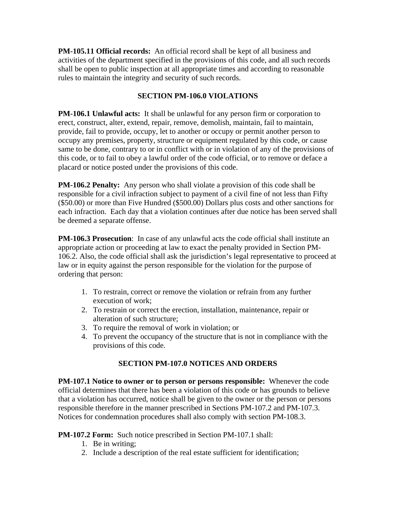**PM-105.11 Official records:** An official record shall be kept of all business and activities of the department specified in the provisions of this code, and all such records shall be open to public inspection at all appropriate times and according to reasonable rules to maintain the integrity and security of such records.

#### **SECTION PM-106.0 VIOLATIONS**

**PM-106.1 Unlawful acts:** It shall be unlawful for any person firm or corporation to erect, construct, alter, extend, repair, remove, demolish, maintain, fail to maintain, provide, fail to provide, occupy, let to another or occupy or permit another person to occupy any premises, property, structure or equipment regulated by this code, or cause same to be done, contrary to or in conflict with or in violation of any of the provisions of this code, or to fail to obey a lawful order of the code official, or to remove or deface a placard or notice posted under the provisions of this code.

**PM-106.2 Penalty:** Any person who shall violate a provision of this code shall be responsible for a civil infraction subject to payment of a civil fine of not less than Fifty (\$50.00) or more than Five Hundred (\$500.00) Dollars plus costs and other sanctions for each infraction. Each day that a violation continues after due notice has been served shall be deemed a separate offense.

**PM-106.3 Prosecution**: In case of any unlawful acts the code official shall institute an appropriate action or proceeding at law to exact the penalty provided in Section PM-106.2. Also, the code official shall ask the jurisdiction's legal representative to proceed at law or in equity against the person responsible for the violation for the purpose of ordering that person:

- 1. To restrain, correct or remove the violation or refrain from any further execution of work;
- 2. To restrain or correct the erection, installation, maintenance, repair or alteration of such structure;
- 3. To require the removal of work in violation; or
- 4. To prevent the occupancy of the structure that is not in compliance with the provisions of this code.

# **SECTION PM-107.0 NOTICES AND ORDERS**

**PM-107.1 Notice to owner or to person or persons responsible:** Whenever the code official determines that there has been a violation of this code or has grounds to believe that a violation has occurred, notice shall be given to the owner or the person or persons responsible therefore in the manner prescribed in Sections PM-107.2 and PM-107.3. Notices for condemnation procedures shall also comply with section PM-108.3.

**PM-107.2 Form:** Such notice prescribed in Section PM-107.1 shall:

- 1. Be in writing;
- 2. Include a description of the real estate sufficient for identification;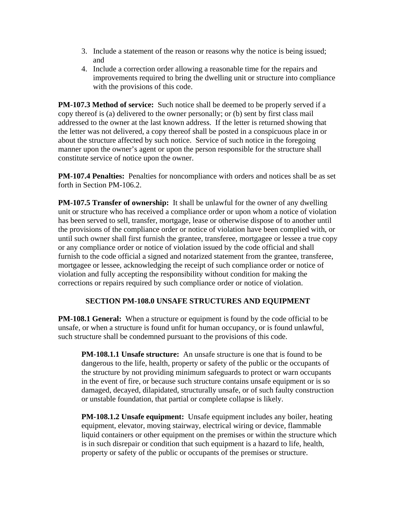- 3. Include a statement of the reason or reasons why the notice is being issued; and
- 4. Include a correction order allowing a reasonable time for the repairs and improvements required to bring the dwelling unit or structure into compliance with the provisions of this code.

**PM-107.3 Method of service:** Such notice shall be deemed to be properly served if a copy thereof is (a) delivered to the owner personally; or (b) sent by first class mail addressed to the owner at the last known address. If the letter is returned showing that the letter was not delivered, a copy thereof shall be posted in a conspicuous place in or about the structure affected by such notice. Service of such notice in the foregoing manner upon the owner's agent or upon the person responsible for the structure shall constitute service of notice upon the owner.

**PM-107.4 Penalties:** Penalties for noncompliance with orders and notices shall be as set forth in Section PM-106.2.

**PM-107.5 Transfer of ownership:** It shall be unlawful for the owner of any dwelling unit or structure who has received a compliance order or upon whom a notice of violation has been served to sell, transfer, mortgage, lease or otherwise dispose of to another until the provisions of the compliance order or notice of violation have been complied with, or until such owner shall first furnish the grantee, transferee, mortgagee or lessee a true copy or any compliance order or notice of violation issued by the code official and shall furnish to the code official a signed and notarized statement from the grantee, transferee, mortgagee or lessee, acknowledging the receipt of such compliance order or notice of violation and fully accepting the responsibility without condition for making the corrections or repairs required by such compliance order or notice of violation.

#### **SECTION PM-108.0 UNSAFE STRUCTURES AND EQUIPMENT**

**PM-108.1 General:** When a structure or equipment is found by the code official to be unsafe, or when a structure is found unfit for human occupancy, or is found unlawful, such structure shall be condemned pursuant to the provisions of this code.

**PM-108.1.1 Unsafe structure:** An unsafe structure is one that is found to be dangerous to the life, health, property or safety of the public or the occupants of the structure by not providing minimum safeguards to protect or warn occupants in the event of fire, or because such structure contains unsafe equipment or is so damaged, decayed, dilapidated, structurally unsafe, or of such faulty construction or unstable foundation, that partial or complete collapse is likely.

**PM-108.1.2 Unsafe equipment:** Unsafe equipment includes any boiler, heating equipment, elevator, moving stairway, electrical wiring or device, flammable liquid containers or other equipment on the premises or within the structure which is in such disrepair or condition that such equipment is a hazard to life, health, property or safety of the public or occupants of the premises or structure.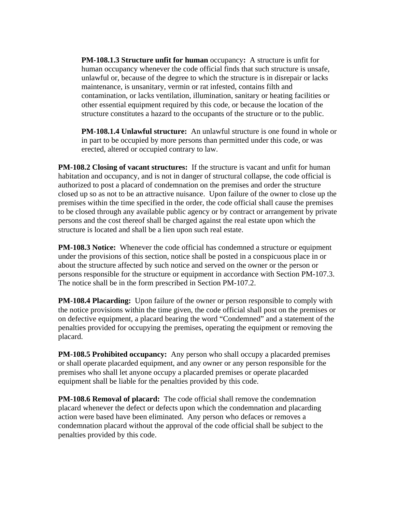**PM-108.1.3 Structure unfit for human** occupancy**:** A structure is unfit for human occupancy whenever the code official finds that such structure is unsafe, unlawful or, because of the degree to which the structure is in disrepair or lacks maintenance, is unsanitary, vermin or rat infested, contains filth and contamination, or lacks ventilation, illumination, sanitary or heating facilities or other essential equipment required by this code, or because the location of the structure constitutes a hazard to the occupants of the structure or to the public.

**PM-108.1.4 Unlawful structure:** An unlawful structure is one found in whole or in part to be occupied by more persons than permitted under this code, or was erected, altered or occupied contrary to law.

**PM-108.2 Closing of vacant structures:** If the structure is vacant and unfit for human habitation and occupancy, and is not in danger of structural collapse, the code official is authorized to post a placard of condemnation on the premises and order the structure closed up so as not to be an attractive nuisance. Upon failure of the owner to close up the premises within the time specified in the order, the code official shall cause the premises to be closed through any available public agency or by contract or arrangement by private persons and the cost thereof shall be charged against the real estate upon which the structure is located and shall be a lien upon such real estate.

**PM-108.3 Notice:** Whenever the code official has condemned a structure or equipment under the provisions of this section, notice shall be posted in a conspicuous place in or about the structure affected by such notice and served on the owner or the person or persons responsible for the structure or equipment in accordance with Section PM-107.3. The notice shall be in the form prescribed in Section PM-107.2.

**PM-108.4 Placarding:** Upon failure of the owner or person responsible to comply with the notice provisions within the time given, the code official shall post on the premises or on defective equipment, a placard bearing the word "Condemned" and a statement of the penalties provided for occupying the premises, operating the equipment or removing the placard.

**PM-108.5 Prohibited occupancy:** Any person who shall occupy a placarded premises or shall operate placarded equipment, and any owner or any person responsible for the premises who shall let anyone occupy a placarded premises or operate placarded equipment shall be liable for the penalties provided by this code.

**PM-108.6 Removal of placard:** The code official shall remove the condemnation placard whenever the defect or defects upon which the condemnation and placarding action were based have been eliminated. Any person who defaces or removes a condemnation placard without the approval of the code official shall be subject to the penalties provided by this code.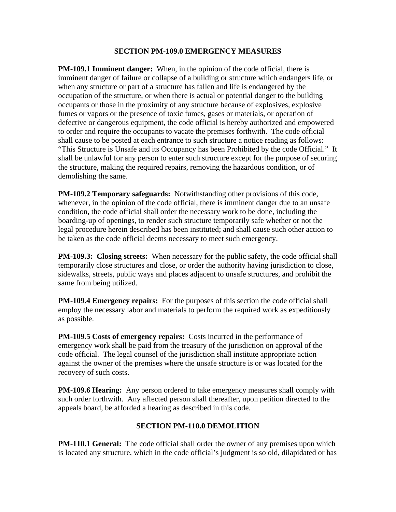#### **SECTION PM-109.0 EMERGENCY MEASURES**

**PM-109.1 Imminent danger:** When, in the opinion of the code official, there is imminent danger of failure or collapse of a building or structure which endangers life, or when any structure or part of a structure has fallen and life is endangered by the occupation of the structure, or when there is actual or potential danger to the building occupants or those in the proximity of any structure because of explosives, explosive fumes or vapors or the presence of toxic fumes, gases or materials, or operation of defective or dangerous equipment, the code official is hereby authorized and empowered to order and require the occupants to vacate the premises forthwith. The code official shall cause to be posted at each entrance to such structure a notice reading as follows: "This Structure is Unsafe and its Occupancy has been Prohibited by the code Official." It shall be unlawful for any person to enter such structure except for the purpose of securing the structure, making the required repairs, removing the hazardous condition, or of demolishing the same.

**PM-109.2 Temporary safeguards:** Notwithstanding other provisions of this code, whenever, in the opinion of the code official, there is imminent danger due to an unsafe condition, the code official shall order the necessary work to be done, including the boarding-up of openings, to render such structure temporarily safe whether or not the legal procedure herein described has been instituted; and shall cause such other action to be taken as the code official deems necessary to meet such emergency.

**PM-109.3: Closing streets:** When necessary for the public safety, the code official shall temporarily close structures and close, or order the authority having jurisdiction to close, sidewalks, streets, public ways and places adjacent to unsafe structures, and prohibit the same from being utilized.

**PM-109.4 Emergency repairs:** For the purposes of this section the code official shall employ the necessary labor and materials to perform the required work as expeditiously as possible.

**PM-109.5 Costs of emergency repairs:** Costs incurred in the performance of emergency work shall be paid from the treasury of the jurisdiction on approval of the code official. The legal counsel of the jurisdiction shall institute appropriate action against the owner of the premises where the unsafe structure is or was located for the recovery of such costs.

**PM-109.6 Hearing:** Any person ordered to take emergency measures shall comply with such order forthwith. Any affected person shall thereafter, upon petition directed to the appeals board, be afforded a hearing as described in this code.

#### **SECTION PM-110.0 DEMOLITION**

**PM-110.1 General:** The code official shall order the owner of any premises upon which is located any structure, which in the code official's judgment is so old, dilapidated or has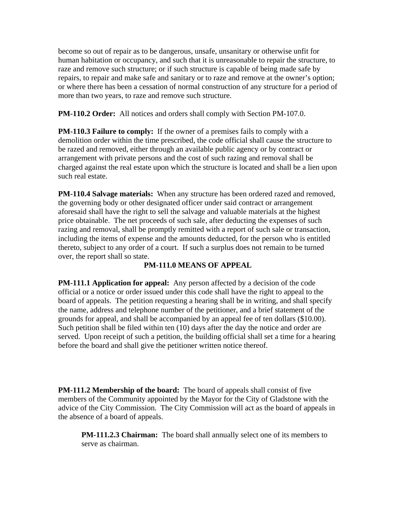become so out of repair as to be dangerous, unsafe, unsanitary or otherwise unfit for human habitation or occupancy, and such that it is unreasonable to repair the structure, to raze and remove such structure; or if such structure is capable of being made safe by repairs, to repair and make safe and sanitary or to raze and remove at the owner's option; or where there has been a cessation of normal construction of any structure for a period of more than two years, to raze and remove such structure.

**PM-110.2 Order:** All notices and orders shall comply with Section PM-107.0.

**PM-110.3 Failure to comply:** If the owner of a premises fails to comply with a demolition order within the time prescribed, the code official shall cause the structure to be razed and removed, either through an available public agency or by contract or arrangement with private persons and the cost of such razing and removal shall be charged against the real estate upon which the structure is located and shall be a lien upon such real estate.

**PM-110.4 Salvage materials:** When any structure has been ordered razed and removed, the governing body or other designated officer under said contract or arrangement aforesaid shall have the right to sell the salvage and valuable materials at the highest price obtainable. The net proceeds of such sale, after deducting the expenses of such razing and removal, shall be promptly remitted with a report of such sale or transaction, including the items of expense and the amounts deducted, for the person who is entitled thereto, subject to any order of a court. If such a surplus does not remain to be turned over, the report shall so state.

#### **PM-111.0 MEANS OF APPEAL**

**PM-111.1 Application for appeal:** Any person affected by a decision of the code official or a notice or order issued under this code shall have the right to appeal to the board of appeals. The petition requesting a hearing shall be in writing, and shall specify the name, address and telephone number of the petitioner, and a brief statement of the grounds for appeal, and shall be accompanied by an appeal fee of ten dollars (\$10.00). Such petition shall be filed within ten (10) days after the day the notice and order are served. Upon receipt of such a petition, the building official shall set a time for a hearing before the board and shall give the petitioner written notice thereof.

**PM-111.2 Membership of the board:** The board of appeals shall consist of five members of the Community appointed by the Mayor for the City of Gladstone with the advice of the City Commission. The City Commission will act as the board of appeals in the absence of a board of appeals.

**PM-111.2.3 Chairman:** The board shall annually select one of its members to serve as chairman.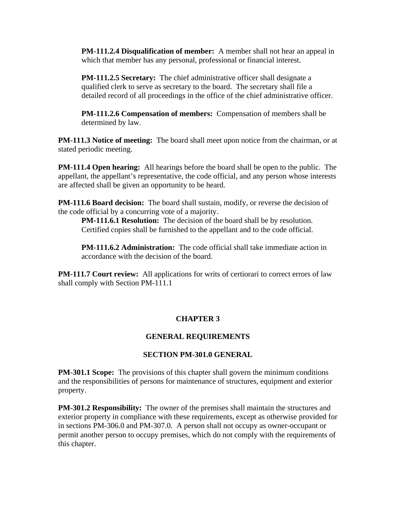**PM-111.2.4 Disqualification of member:** A member shall not hear an appeal in which that member has any personal, professional or financial interest.

**PM-111.2.5 Secretary:** The chief administrative officer shall designate a qualified clerk to serve as secretary to the board. The secretary shall file a detailed record of all proceedings in the office of the chief administrative officer.

**PM-111.2.6 Compensation of members:** Compensation of members shall be determined by law.

**PM-111.3 Notice of meeting:** The board shall meet upon notice from the chairman, or at stated periodic meeting.

**PM-111.4 Open hearing:** All hearings before the board shall be open to the public. The appellant, the appellant's representative, the code official, and any person whose interests are affected shall be given an opportunity to be heard.

**PM-111.6 Board decision:** The board shall sustain, modify, or reverse the decision of the code official by a concurring vote of a majority.

**PM-111.6.1 Resolution:** The decision of the board shall be by resolution. Certified copies shall be furnished to the appellant and to the code official.

**PM-111.6.2 Administration:** The code official shall take immediate action in accordance with the decision of the board.

**PM-111.7 Court review:** All applications for writs of certiorari to correct errors of law shall comply with Section PM-111.1

#### **CHAPTER 3**

#### **GENERAL REQUIREMENTS**

#### **SECTION PM-301.0 GENERAL**

**PM-301.1 Scope:** The provisions of this chapter shall govern the minimum conditions and the responsibilities of persons for maintenance of structures, equipment and exterior property.

**PM-301.2 Responsibility:** The owner of the premises shall maintain the structures and exterior property in compliance with these requirements, except as otherwise provided for in sections PM-306.0 and PM-307.0. A person shall not occupy as owner-occupant or permit another person to occupy premises, which do not comply with the requirements of this chapter.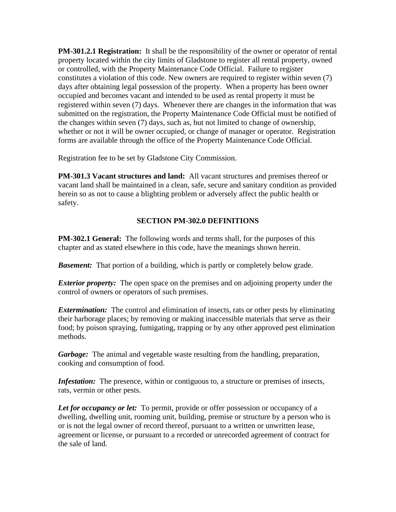**PM-301.2.1 Registration:** It shall be the responsibility of the owner or operator of rental property located within the city limits of Gladstone to register all rental property, owned or controlled, with the Property Maintenance Code Official. Failure to register constitutes a violation of this code. New owners are required to register within seven (7) days after obtaining legal possession of the property. When a property has been owner occupied and becomes vacant and intended to be used as rental property it must be registered within seven (7) days. Whenever there are changes in the information that was submitted on the registration, the Property Maintenance Code Official must be notified of the changes within seven (7) days, such as, but not limited to change of ownership, whether or not it will be owner occupied, or change of manager or operator. Registration forms are available through the office of the Property Maintenance Code Official.

Registration fee to be set by Gladstone City Commission.

**PM-301.3 Vacant structures and land:** All vacant structures and premises thereof or vacant land shall be maintained in a clean, safe, secure and sanitary condition as provided herein so as not to cause a blighting problem or adversely affect the public health or safety.

#### **SECTION PM-302.0 DEFINITIONS**

**PM-302.1 General:** The following words and terms shall, for the purposes of this chapter and as stated elsewhere in this code, have the meanings shown herein.

*Basement:* That portion of a building, which is partly or completely below grade.

*Exterior property:* The open space on the premises and on adjoining property under the control of owners or operators of such premises.

*Extermination:* The control and elimination of insects, rats or other pests by eliminating their harborage places; by removing or making inaccessible materials that serve as their food; by poison spraying, fumigating, trapping or by any other approved pest elimination methods.

*Garbage:* The animal and vegetable waste resulting from the handling, preparation, cooking and consumption of food.

*Infestation:* The presence, within or contiguous to, a structure or premises of insects, rats, vermin or other pests.

*Let for occupancy or let:* To permit, provide or offer possession or occupancy of a dwelling, dwelling unit, rooming unit, building, premise or structure by a person who is or is not the legal owner of record thereof, pursuant to a written or unwritten lease, agreement or license, or pursuant to a recorded or unrecorded agreement of contract for the sale of land.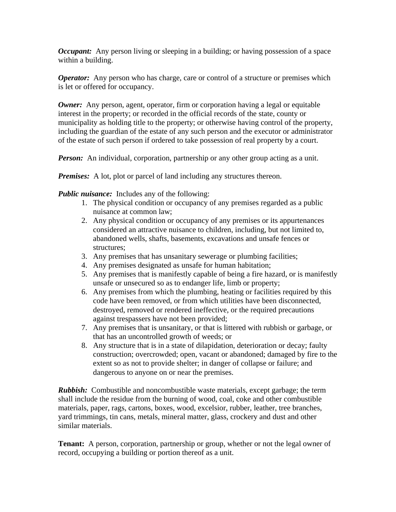*Occupant:* Any person living or sleeping in a building; or having possession of a space within a building.

*Operator:* Any person who has charge, care or control of a structure or premises which is let or offered for occupancy.

*Owner:* Any person, agent, operator, firm or corporation having a legal or equitable interest in the property; or recorded in the official records of the state, county or municipality as holding title to the property; or otherwise having control of the property, including the guardian of the estate of any such person and the executor or administrator of the estate of such person if ordered to take possession of real property by a court.

*Person:* An individual, corporation, partnership or any other group acting as a unit.

*Premises:* A lot, plot or parcel of land including any structures thereon.

*Public nuisance:* Includes any of the following:

- 1. The physical condition or occupancy of any premises regarded as a public nuisance at common law;
- 2. Any physical condition or occupancy of any premises or its appurtenances considered an attractive nuisance to children, including, but not limited to, abandoned wells, shafts, basements, excavations and unsafe fences or structures;
- 3. Any premises that has unsanitary sewerage or plumbing facilities;
- 4. Any premises designated as unsafe for human habitation;
- 5. Any premises that is manifestly capable of being a fire hazard, or is manifestly unsafe or unsecured so as to endanger life, limb or property;
- 6. Any premises from which the plumbing, heating or facilities required by this code have been removed, or from which utilities have been disconnected, destroyed, removed or rendered ineffective, or the required precautions against trespassers have not been provided;
- 7. Any premises that is unsanitary, or that is littered with rubbish or garbage, or that has an uncontrolled growth of weeds; or
- 8. Any structure that is in a state of dilapidation, deterioration or decay; faulty construction; overcrowded; open, vacant or abandoned; damaged by fire to the extent so as not to provide shelter; in danger of collapse or failure; and dangerous to anyone on or near the premises.

*Rubbish:* Combustible and noncombustible waste materials, except garbage; the term shall include the residue from the burning of wood, coal, coke and other combustible materials, paper, rags, cartons, boxes, wood, excelsior, rubber, leather, tree branches, yard trimmings, tin cans, metals, mineral matter, glass, crockery and dust and other similar materials.

**Tenant:** A person, corporation, partnership or group, whether or not the legal owner of record, occupying a building or portion thereof as a unit.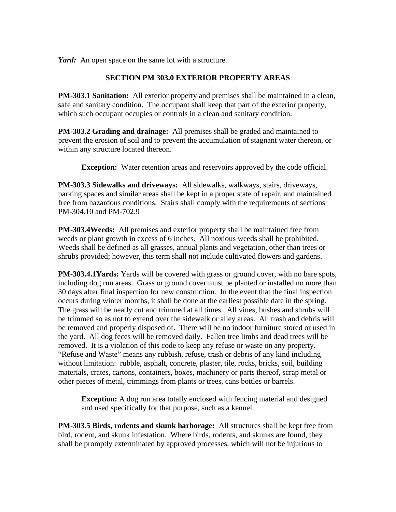*Yard:* An open space on the same lot with a structure.

#### **SECTION PM 303.0 EXTERIOR PROPERTY AREAS**

**PM-303.1 Sanitation:** All exterior property and premises shall be maintained in a clean, safe and sanitary condition. The occupant shall keep that part of the exterior property, which such occupant occupies or controls in a clean and sanitary condition.

**PM-303.2 Grading and drainage:** All premises shall be graded and maintained to prevent the erosion of soil and to prevent the accumulation of stagnant water thereon, or within any structure located thereon.

**Exception:** Water retention areas and reservoirs approved by the code official.

**PM-303.3 Sidewalks and driveways:** All sidewalks, walkways, stairs, driveways, parking spaces and similar areas shall be kept in a proper state of repair, and maintained free from hazardous conditions. Stairs shall comply with the requirements of sections PM-304.10 and PM-702.9

**PM-303.4Weeds:** All premises and exterior property shall be maintained free from weeds or plant growth in excess of 6 inches. All noxious weeds shall be prohibited. Weeds shall be defined as all grasses, annual plants and vegetation, other than trees or shrubs provided; however, this term shall not include cultivated flowers and gardens.

**PM-303.4.1Yards:** Yards will be covered with grass or ground cover, with no bare spots, including dog run areas. Grass or ground cover must be planted or installed no more than 30 days after final inspection for new construction. In the event that the final inspection occurs during winter months, it shall be done at the earliest possible date in the spring. The grass will be neatly cut and trimmed at all times. All vines, bushes and shrubs will be trimmed so as not to extend over the sidewalk or alley areas. All trash and debris will be removed and properly disposed of. There will be no indoor furniture stored or used in the yard. All dog feces will be removed daily. Fallen tree limbs and dead trees will be removed. It is a violation of this code to keep any refuse or waste on any property. "Refuse and Waste" means any rubbish, refuse, trash or debris of any kind including without limitation: rubble, asphalt, concrete, plaster, tile, rocks, bricks, soil, building materials, crates, cartons, containers, boxes, machinery or parts thereof, scrap metal or other pieces of metal, trimmings from plants or trees, cans bottles or barrels.

**Exception:** A dog run area totally enclosed with fencing material and designed and used specifically for that purpose, such as a kennel.

**PM-303.5 Birds, rodents and skunk harborage:** All structures shall be kept free from bird, rodent, and skunk infestation. Where birds, rodents, and skunks are found, they shall be promptly exterminated by approved processes, which will not be injurious to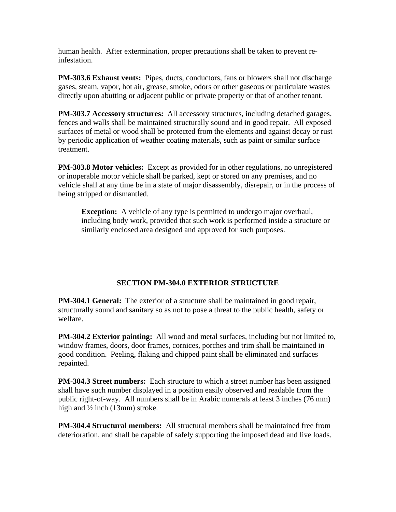human health. After extermination, proper precautions shall be taken to prevent reinfestation.

**PM-303.6 Exhaust vents:** Pipes, ducts, conductors, fans or blowers shall not discharge gases, steam, vapor, hot air, grease, smoke, odors or other gaseous or particulate wastes directly upon abutting or adjacent public or private property or that of another tenant.

**PM-303.7 Accessory structures:** All accessory structures, including detached garages, fences and walls shall be maintained structurally sound and in good repair. All exposed surfaces of metal or wood shall be protected from the elements and against decay or rust by periodic application of weather coating materials, such as paint or similar surface treatment.

**PM-303.8 Motor vehicles:** Except as provided for in other regulations, no unregistered or inoperable motor vehicle shall be parked, kept or stored on any premises, and no vehicle shall at any time be in a state of major disassembly, disrepair, or in the process of being stripped or dismantled.

**Exception:** A vehicle of any type is permitted to undergo major overhaul, including body work, provided that such work is performed inside a structure or similarly enclosed area designed and approved for such purposes.

#### **SECTION PM-304.0 EXTERIOR STRUCTURE**

**PM-304.1 General:** The exterior of a structure shall be maintained in good repair, structurally sound and sanitary so as not to pose a threat to the public health, safety or welfare.

**PM-304.2 Exterior painting:** All wood and metal surfaces, including but not limited to, window frames, doors, door frames, cornices, porches and trim shall be maintained in good condition. Peeling, flaking and chipped paint shall be eliminated and surfaces repainted.

**PM-304.3 Street numbers:** Each structure to which a street number has been assigned shall have such number displayed in a position easily observed and readable from the public right-of-way. All numbers shall be in Arabic numerals at least 3 inches (76 mm) high and  $\frac{1}{2}$  inch (13mm) stroke.

**PM-304.4 Structural members:** All structural members shall be maintained free from deterioration, and shall be capable of safely supporting the imposed dead and live loads.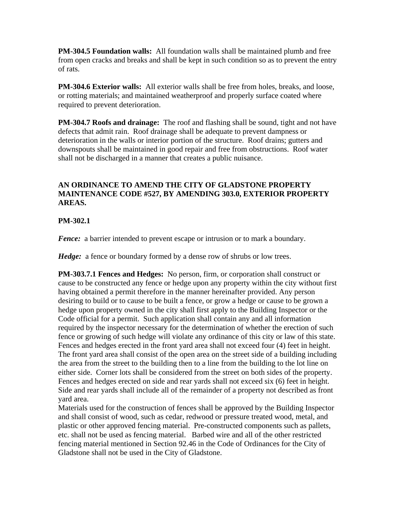**PM-304.5 Foundation walls:** All foundation walls shall be maintained plumb and free from open cracks and breaks and shall be kept in such condition so as to prevent the entry of rats.

**PM-304.6 Exterior walls:** All exterior walls shall be free from holes, breaks, and loose, or rotting materials; and maintained weatherproof and properly surface coated where required to prevent deterioration.

**PM-304.7 Roofs and drainage:** The roof and flashing shall be sound, tight and not have defects that admit rain. Roof drainage shall be adequate to prevent dampness or deterioration in the walls or interior portion of the structure. Roof drains; gutters and downspouts shall be maintained in good repair and free from obstructions. Roof water shall not be discharged in a manner that creates a public nuisance.

#### **AN ORDINANCE TO AMEND THE CITY OF GLADSTONE PROPERTY MAINTENANCE CODE #527, BY AMENDING 303.0, EXTERIOR PROPERTY AREAS.**

#### **PM-302.1**

*Fence:* a barrier intended to prevent escape or intrusion or to mark a boundary.

*Hedge:* a fence or boundary formed by a dense row of shrubs or low trees.

**PM-303.7.1 Fences and Hedges:** No person, firm, or corporation shall construct or cause to be constructed any fence or hedge upon any property within the city without first having obtained a permit therefore in the manner hereinafter provided. Any person desiring to build or to cause to be built a fence, or grow a hedge or cause to be grown a hedge upon property owned in the city shall first apply to the Building Inspector or the Code official for a permit. Such application shall contain any and all information required by the inspector necessary for the determination of whether the erection of such fence or growing of such hedge will violate any ordinance of this city or law of this state. Fences and hedges erected in the front yard area shall not exceed four (4) feet in height. The front yard area shall consist of the open area on the street side of a building including the area from the street to the building then to a line from the building to the lot line on either side. Corner lots shall be considered from the street on both sides of the property. Fences and hedges erected on side and rear yards shall not exceed six (6) feet in height. Side and rear yards shall include all of the remainder of a property not described as front yard area.

Materials used for the construction of fences shall be approved by the Building Inspector and shall consist of wood, such as cedar, redwood or pressure treated wood, metal, and plastic or other approved fencing material. Pre-constructed components such as pallets, etc. shall not be used as fencing material. Barbed wire and all of the other restricted fencing material mentioned in Section 92.46 in the Code of Ordinances for the City of Gladstone shall not be used in the City of Gladstone.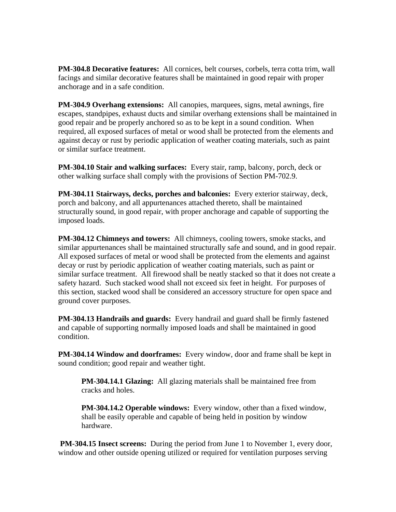**PM-304.8 Decorative features:** All cornices, belt courses, corbels, terra cotta trim, wall facings and similar decorative features shall be maintained in good repair with proper anchorage and in a safe condition.

**PM-304.9 Overhang extensions:** All canopies, marquees, signs, metal awnings, fire escapes, standpipes, exhaust ducts and similar overhang extensions shall be maintained in good repair and be properly anchored so as to be kept in a sound condition. When required, all exposed surfaces of metal or wood shall be protected from the elements and against decay or rust by periodic application of weather coating materials, such as paint or similar surface treatment.

**PM-304.10 Stair and walking surfaces:** Every stair, ramp, balcony, porch, deck or other walking surface shall comply with the provisions of Section PM-702.9.

**PM-304.11 Stairways, decks, porches and balconies:** Every exterior stairway, deck, porch and balcony, and all appurtenances attached thereto, shall be maintained structurally sound, in good repair, with proper anchorage and capable of supporting the imposed loads.

**PM-304.12 Chimneys and towers:** All chimneys, cooling towers, smoke stacks, and similar appurtenances shall be maintained structurally safe and sound, and in good repair. All exposed surfaces of metal or wood shall be protected from the elements and against decay or rust by periodic application of weather coating materials, such as paint or similar surface treatment. All firewood shall be neatly stacked so that it does not create a safety hazard. Such stacked wood shall not exceed six feet in height. For purposes of this section, stacked wood shall be considered an accessory structure for open space and ground cover purposes.

**PM-304.13 Handrails and guards:** Every handrail and guard shall be firmly fastened and capable of supporting normally imposed loads and shall be maintained in good condition.

**PM-304.14 Window and doorframes:** Every window, door and frame shall be kept in sound condition; good repair and weather tight.

**PM-304.14.1 Glazing:** All glazing materials shall be maintained free from cracks and holes.

**PM-304.14.2 Operable windows:** Every window, other than a fixed window, shall be easily operable and capable of being held in position by window hardware.

**PM-304.15 Insect screens:** During the period from June 1 to November 1, every door, window and other outside opening utilized or required for ventilation purposes serving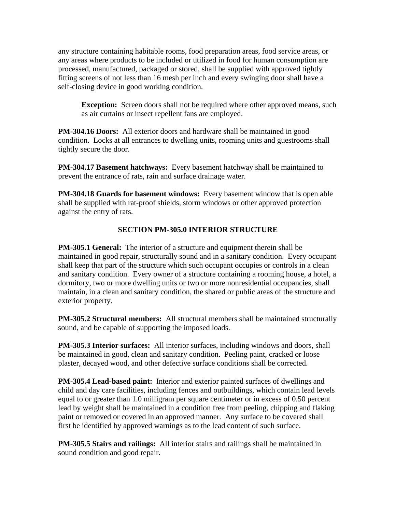any structure containing habitable rooms, food preparation areas, food service areas, or any areas where products to be included or utilized in food for human consumption are processed, manufactured, packaged or stored, shall be supplied with approved tightly fitting screens of not less than 16 mesh per inch and every swinging door shall have a self-closing device in good working condition.

**Exception:** Screen doors shall not be required where other approved means, such as air curtains or insect repellent fans are employed.

**PM-304.16 Doors:** All exterior doors and hardware shall be maintained in good condition. Locks at all entrances to dwelling units, rooming units and guestrooms shall tightly secure the door.

**PM-304.17 Basement hatchways:** Every basement hatchway shall be maintained to prevent the entrance of rats, rain and surface drainage water.

**PM-304.18 Guards for basement windows:** Every basement window that is open able shall be supplied with rat-proof shields, storm windows or other approved protection against the entry of rats.

#### **SECTION PM-305.0 INTERIOR STRUCTURE**

**PM-305.1 General:** The interior of a structure and equipment therein shall be maintained in good repair, structurally sound and in a sanitary condition. Every occupant shall keep that part of the structure which such occupant occupies or controls in a clean and sanitary condition. Every owner of a structure containing a rooming house, a hotel, a dormitory, two or more dwelling units or two or more nonresidential occupancies, shall maintain, in a clean and sanitary condition, the shared or public areas of the structure and exterior property.

**PM-305.2 Structural members:** All structural members shall be maintained structurally sound, and be capable of supporting the imposed loads.

**PM-305.3 Interior surfaces:** All interior surfaces, including windows and doors, shall be maintained in good, clean and sanitary condition. Peeling paint, cracked or loose plaster, decayed wood, and other defective surface conditions shall be corrected.

**PM-305.4 Lead-based paint:** Interior and exterior painted surfaces of dwellings and child and day care facilities, including fences and outbuildings, which contain lead levels equal to or greater than 1.0 milligram per square centimeter or in excess of 0.50 percent lead by weight shall be maintained in a condition free from peeling, chipping and flaking paint or removed or covered in an approved manner. Any surface to be covered shall first be identified by approved warnings as to the lead content of such surface.

**PM-305.5 Stairs and railings:** All interior stairs and railings shall be maintained in sound condition and good repair.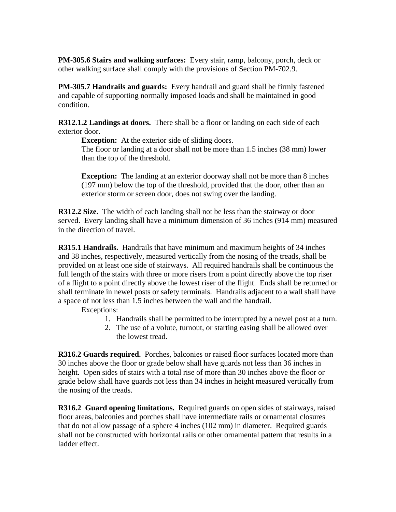**PM-305.6 Stairs and walking surfaces:** Every stair, ramp, balcony, porch, deck or other walking surface shall comply with the provisions of Section PM-702.9.

**PM-305.7 Handrails and guards:** Every handrail and guard shall be firmly fastened and capable of supporting normally imposed loads and shall be maintained in good condition.

**R312.1.2 Landings at doors.** There shall be a floor or landing on each side of each exterior door.

**Exception:** At the exterior side of sliding doors.

The floor or landing at a door shall not be more than 1.5 inches (38 mm) lower than the top of the threshold.

**Exception:** The landing at an exterior doorway shall not be more than 8 inches (197 mm) below the top of the threshold, provided that the door, other than an exterior storm or screen door, does not swing over the landing.

**R312.2 Size.** The width of each landing shall not be less than the stairway or door served. Every landing shall have a minimum dimension of 36 inches (914 mm) measured in the direction of travel.

**R315.1 Handrails.** Handrails that have minimum and maximum heights of 34 inches and 38 inches, respectively, measured vertically from the nosing of the treads, shall be provided on at least one side of stairways. All required handrails shall be continuous the full length of the stairs with three or more risers from a point directly above the top riser of a flight to a point directly above the lowest riser of the flight. Ends shall be returned or shall terminate in newel posts or safety terminals. Handrails adjacent to a wall shall have a space of not less than 1.5 inches between the wall and the handrail.

Exceptions:

- 1. Handrails shall be permitted to be interrupted by a newel post at a turn.
- 2. The use of a volute, turnout, or starting easing shall be allowed over the lowest tread.

**R316.2 Guards required.** Porches, balconies or raised floor surfaces located more than 30 inches above the floor or grade below shall have guards not less than 36 inches in height. Open sides of stairs with a total rise of more than 30 inches above the floor or grade below shall have guards not less than 34 inches in height measured vertically from the nosing of the treads.

**R316.2 Guard opening limitations.** Required guards on open sides of stairways, raised floor areas, balconies and porches shall have intermediate rails or ornamental closures that do not allow passage of a sphere 4 inches (102 mm) in diameter. Required guards shall not be constructed with horizontal rails or other ornamental pattern that results in a ladder effect.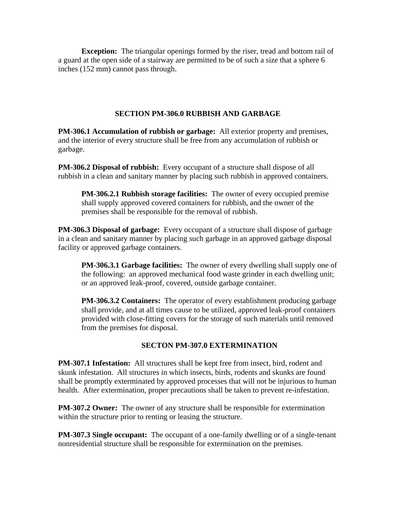**Exception:** The triangular openings formed by the riser, tread and bottom rail of a guard at the open side of a stairway are permitted to be of such a size that a sphere 6 inches (152 mm) cannot pass through.

#### **SECTION PM-306.0 RUBBISH AND GARBAGE**

**PM-306.1 Accumulation of rubbish or garbage:** All exterior property and premises, and the interior of every structure shall be free from any accumulation of rubbish or garbage.

**PM-306.2 Disposal of rubbish:** Every occupant of a structure shall dispose of all rubbish in a clean and sanitary manner by placing such rubbish in approved containers.

**PM-306.2.1 Rubbish storage facilities:** The owner of every occupied premise shall supply approved covered containers for rubbish, and the owner of the premises shall be responsible for the removal of rubbish.

**PM-306.3 Disposal of garbage:** Every occupant of a structure shall dispose of garbage in a clean and sanitary manner by placing such garbage in an approved garbage disposal facility or approved garbage containers.

**PM-306.3.1 Garbage facilities:** The owner of every dwelling shall supply one of the following: an approved mechanical food waste grinder in each dwelling unit; or an approved leak-proof, covered, outside garbage container.

**PM-306.3.2 Containers:** The operator of every establishment producing garbage shall provide, and at all times cause to be utilized, approved leak-proof containers provided with close-fitting covers for the storage of such materials until removed from the premises for disposal.

#### **SECTON PM-307.0 EXTERMINATION**

**PM-307.1 Infestation:** All structures shall be kept free from insect, bird, rodent and skunk infestation. All structures in which insects, birds, rodents and skunks are found shall be promptly exterminated by approved processes that will not be injurious to human health. After extermination, proper precautions shall be taken to prevent re-infestation.

**PM-307.2 Owner:** The owner of any structure shall be responsible for extermination within the structure prior to renting or leasing the structure.

**PM-307.3 Single occupant:** The occupant of a one-family dwelling or of a single-tenant nonresidential structure shall be responsible for extermination on the premises.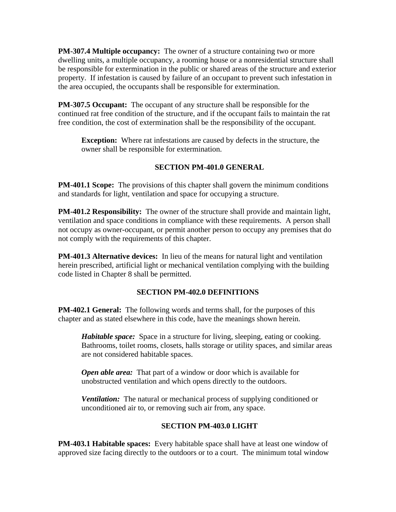**PM-307.4 Multiple occupancy:** The owner of a structure containing two or more dwelling units, a multiple occupancy, a rooming house or a nonresidential structure shall be responsible for extermination in the public or shared areas of the structure and exterior property. If infestation is caused by failure of an occupant to prevent such infestation in the area occupied, the occupants shall be responsible for extermination.

**PM-307.5 Occupant:** The occupant of any structure shall be responsible for the continued rat free condition of the structure, and if the occupant fails to maintain the rat free condition, the cost of extermination shall be the responsibility of the occupant.

**Exception:** Where rat infestations are caused by defects in the structure, the owner shall be responsible for extermination.

## **SECTION PM-401.0 GENERAL**

**PM-401.1 Scope:** The provisions of this chapter shall govern the minimum conditions and standards for light, ventilation and space for occupying a structure.

**PM-401.2 Responsibility:** The owner of the structure shall provide and maintain light, ventilation and space conditions in compliance with these requirements. A person shall not occupy as owner-occupant, or permit another person to occupy any premises that do not comply with the requirements of this chapter.

**PM-401.3 Alternative devices:** In lieu of the means for natural light and ventilation herein prescribed, artificial light or mechanical ventilation complying with the building code listed in Chapter 8 shall be permitted.

#### **SECTION PM-402.0 DEFINITIONS**

**PM-402.1 General:** The following words and terms shall, for the purposes of this chapter and as stated elsewhere in this code, have the meanings shown herein.

*Habitable space:* Space in a structure for living, sleeping, eating or cooking. Bathrooms, toilet rooms, closets, halls storage or utility spaces, and similar areas are not considered habitable spaces.

*Open able area:* That part of a window or door which is available for unobstructed ventilation and which opens directly to the outdoors.

*Ventilation:* The natural or mechanical process of supplying conditioned or unconditioned air to, or removing such air from, any space.

#### **SECTION PM-403.0 LIGHT**

**PM-403.1 Habitable spaces:** Every habitable space shall have at least one window of approved size facing directly to the outdoors or to a court. The minimum total window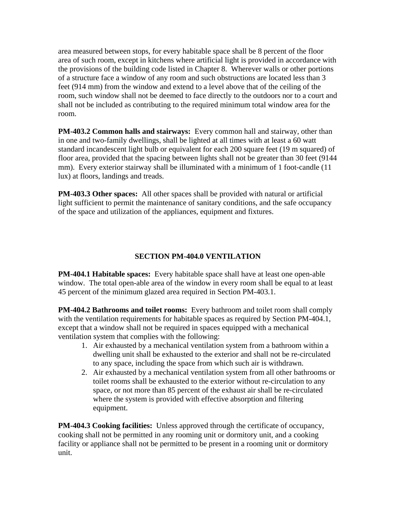area measured between stops, for every habitable space shall be 8 percent of the floor area of such room, except in kitchens where artificial light is provided in accordance with the provisions of the building code listed in Chapter 8. Wherever walls or other portions of a structure face a window of any room and such obstructions are located less than 3 feet (914 mm) from the window and extend to a level above that of the ceiling of the room, such window shall not be deemed to face directly to the outdoors nor to a court and shall not be included as contributing to the required minimum total window area for the room.

**PM-403.2 Common halls and stairways:** Every common hall and stairway, other than in one and two-family dwellings, shall be lighted at all times with at least a 60 watt standard incandescent light bulb or equivalent for each 200 square feet (19 m squared) of floor area, provided that the spacing between lights shall not be greater than 30 feet (9144 mm). Every exterior stairway shall be illuminated with a minimum of 1 foot-candle (11 lux) at floors, landings and treads.

**PM-403.3 Other spaces:** All other spaces shall be provided with natural or artificial light sufficient to permit the maintenance of sanitary conditions, and the safe occupancy of the space and utilization of the appliances, equipment and fixtures.

## **SECTION PM-404.0 VENTILATION**

**PM-404.1 Habitable spaces:** Every habitable space shall have at least one open-able window. The total open-able area of the window in every room shall be equal to at least 45 percent of the minimum glazed area required in Section PM-403.1.

**PM-404.2 Bathrooms and toilet rooms:** Every bathroom and toilet room shall comply with the ventilation requirements for habitable spaces as required by Section PM-404.1, except that a window shall not be required in spaces equipped with a mechanical ventilation system that complies with the following:

- 1. Air exhausted by a mechanical ventilation system from a bathroom within a dwelling unit shall be exhausted to the exterior and shall not be re-circulated to any space, including the space from which such air is withdrawn.
- 2. Air exhausted by a mechanical ventilation system from all other bathrooms or toilet rooms shall be exhausted to the exterior without re-circulation to any space, or not more than 85 percent of the exhaust air shall be re-circulated where the system is provided with effective absorption and filtering equipment.

**PM-404.3 Cooking facilities:** Unless approved through the certificate of occupancy, cooking shall not be permitted in any rooming unit or dormitory unit, and a cooking facility or appliance shall not be permitted to be present in a rooming unit or dormitory unit.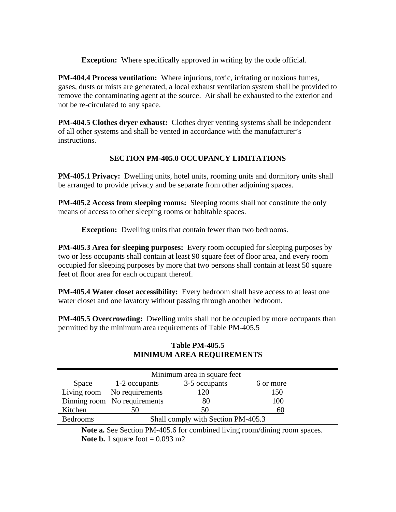**Exception:** Where specifically approved in writing by the code official.

**PM-404.4 Process ventilation:** Where injurious, toxic, irritating or noxious fumes, gases, dusts or mists are generated, a local exhaust ventilation system shall be provided to remove the contaminating agent at the source. Air shall be exhausted to the exterior and not be re-circulated to any space.

**PM-404.5 Clothes dryer exhaust:** Clothes dryer venting systems shall be independent of all other systems and shall be vented in accordance with the manufacturer's instructions.

## **SECTION PM-405.0 OCCUPANCY LIMITATIONS**

**PM-405.1 Privacy:** Dwelling units, hotel units, rooming units and dormitory units shall be arranged to provide privacy and be separate from other adjoining spaces.

**PM-405.2 Access from sleeping rooms:** Sleeping rooms shall not constitute the only means of access to other sleeping rooms or habitable spaces.

**Exception:** Dwelling units that contain fewer than two bedrooms.

**PM-405.3 Area for sleeping purposes:** Every room occupied for sleeping purposes by two or less occupants shall contain at least 90 square feet of floor area, and every room occupied for sleeping purposes by more that two persons shall contain at least 50 square feet of floor area for each occupant thereof.

**PM-405.4 Water closet accessibility:** Every bedroom shall have access to at least one water closet and one lavatory without passing through another bedroom.

**PM-405.5 Overcrowding:** Dwelling units shall not be occupied by more occupants than permitted by the minimum area requirements of Table PM-405.5

|                 | Minimum area in square feet        |               |           |
|-----------------|------------------------------------|---------------|-----------|
| Space           | 1-2 occupants                      | 3-5 occupants | 6 or more |
|                 | Living room No requirements        | 120           | 150       |
|                 | Dinning room No requirements       | 80            | 100       |
| Kitchen         | 50                                 | 50            | 60        |
| <b>Bedrooms</b> | Shall comply with Section PM-405.3 |               |           |

#### **Table PM-405.5 MINIMUM AREA REQUIREMENTS**

Note a. See Section PM-405.6 for combined living room/dining room spaces. **Note b.** 1 square foot  $= 0.093$  m2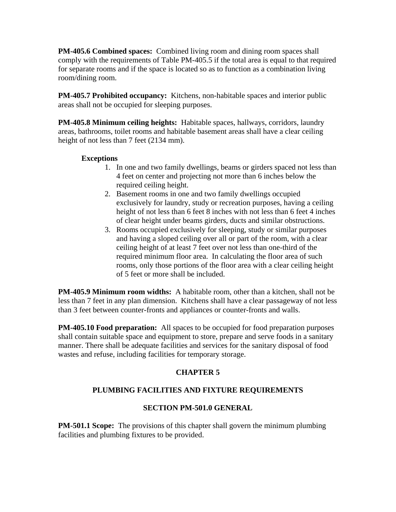**PM-405.6 Combined spaces:** Combined living room and dining room spaces shall comply with the requirements of Table PM-405.5 if the total area is equal to that required for separate rooms and if the space is located so as to function as a combination living room/dining room.

**PM-405.7 Prohibited occupancy:** Kitchens, non-habitable spaces and interior public areas shall not be occupied for sleeping purposes.

**PM-405.8 Minimum ceiling heights:** Habitable spaces, hallways, corridors, laundry areas, bathrooms, toilet rooms and habitable basement areas shall have a clear ceiling height of not less than 7 feet (2134 mm).

#### **Exceptions**

- 1. In one and two family dwellings, beams or girders spaced not less than 4 feet on center and projecting not more than 6 inches below the required ceiling height.
- 2. Basement rooms in one and two family dwellings occupied exclusively for laundry, study or recreation purposes, having a ceiling height of not less than 6 feet 8 inches with not less than 6 feet 4 inches of clear height under beams girders, ducts and similar obstructions.
- 3. Rooms occupied exclusively for sleeping, study or similar purposes and having a sloped ceiling over all or part of the room, with a clear ceiling height of at least 7 feet over not less than one-third of the required minimum floor area. In calculating the floor area of such rooms, only those portions of the floor area with a clear ceiling height of 5 feet or more shall be included.

**PM-405.9 Minimum room widths:** A habitable room, other than a kitchen, shall not be less than 7 feet in any plan dimension. Kitchens shall have a clear passageway of not less than 3 feet between counter-fronts and appliances or counter-fronts and walls.

**PM-405.10 Food preparation:** All spaces to be occupied for food preparation purposes shall contain suitable space and equipment to store, prepare and serve foods in a sanitary manner. There shall be adequate facilities and services for the sanitary disposal of food wastes and refuse, including facilities for temporary storage.

#### **CHAPTER 5**

# **PLUMBING FACILITIES AND FIXTURE REQUIREMENTS**

#### **SECTION PM-501.0 GENERAL**

**PM-501.1 Scope:** The provisions of this chapter shall govern the minimum plumbing facilities and plumbing fixtures to be provided.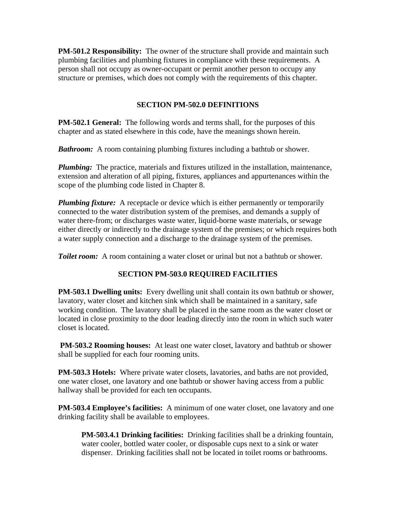**PM-501.2 Responsibility:** The owner of the structure shall provide and maintain such plumbing facilities and plumbing fixtures in compliance with these requirements. A person shall not occupy as owner-occupant or permit another person to occupy any structure or premises, which does not comply with the requirements of this chapter.

#### **SECTION PM-502.0 DEFINITIONS**

**PM-502.1 General:** The following words and terms shall, for the purposes of this chapter and as stated elsewhere in this code, have the meanings shown herein.

*Bathroom:* A room containing plumbing fixtures including a bathtub or shower.

*Plumbing:* The practice, materials and fixtures utilized in the installation, maintenance, extension and alteration of all piping, fixtures, appliances and appurtenances within the scope of the plumbing code listed in Chapter 8.

*Plumbing fixture:* A receptacle or device which is either permanently or temporarily connected to the water distribution system of the premises, and demands a supply of water there-from; or discharges waste water, liquid-borne waste materials, or sewage either directly or indirectly to the drainage system of the premises; or which requires both a water supply connection and a discharge to the drainage system of the premises.

**Toilet room:** A room containing a water closet or urinal but not a bathtub or shower.

#### **SECTION PM-503.0 REQUIRED FACILITIES**

**PM-503.1 Dwelling units:** Every dwelling unit shall contain its own bathtub or shower, lavatory, water closet and kitchen sink which shall be maintained in a sanitary, safe working condition. The lavatory shall be placed in the same room as the water closet or located in close proximity to the door leading directly into the room in which such water closet is located.

**PM-503.2 Rooming houses:** At least one water closet, lavatory and bathtub or shower shall be supplied for each four rooming units.

**PM-503.3 Hotels:** Where private water closets, lavatories, and baths are not provided, one water closet, one lavatory and one bathtub or shower having access from a public hallway shall be provided for each ten occupants.

**PM-503.4 Employee's facilities:** A minimum of one water closet, one lavatory and one drinking facility shall be available to employees.

**PM-503.4.1 Drinking facilities:** Drinking facilities shall be a drinking fountain, water cooler, bottled water cooler, or disposable cups next to a sink or water dispenser. Drinking facilities shall not be located in toilet rooms or bathrooms.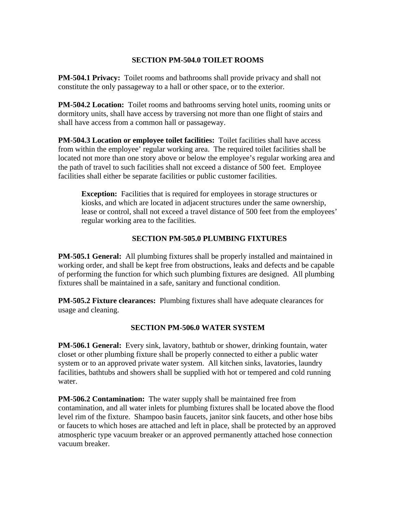#### **SECTION PM-504.0 TOILET ROOMS**

**PM-504.1 Privacy:** Toilet rooms and bathrooms shall provide privacy and shall not constitute the only passageway to a hall or other space, or to the exterior.

**PM-504.2 Location:** Toilet rooms and bathrooms serving hotel units, rooming units or dormitory units, shall have access by traversing not more than one flight of stairs and shall have access from a common hall or passageway.

**PM-504.3 Location or employee toilet facilities:** Toilet facilities shall have access from within the employee' regular working area. The required toilet facilities shall be located not more than one story above or below the employee's regular working area and the path of travel to such facilities shall not exceed a distance of 500 feet. Employee facilities shall either be separate facilities or public customer facilities.

**Exception:** Facilities that is required for employees in storage structures or kiosks, and which are located in adjacent structures under the same ownership, lease or control, shall not exceed a travel distance of 500 feet from the employees' regular working area to the facilities.

#### **SECTION PM-505.0 PLUMBING FIXTURES**

**PM-505.1 General:** All plumbing fixtures shall be properly installed and maintained in working order, and shall be kept free from obstructions, leaks and defects and be capable of performing the function for which such plumbing fixtures are designed. All plumbing fixtures shall be maintained in a safe, sanitary and functional condition.

**PM-505.2 Fixture clearances:** Plumbing fixtures shall have adequate clearances for usage and cleaning.

#### **SECTION PM-506.0 WATER SYSTEM**

**PM-506.1 General:** Every sink, lavatory, bathtub or shower, drinking fountain, water closet or other plumbing fixture shall be properly connected to either a public water system or to an approved private water system. All kitchen sinks, lavatories, laundry facilities, bathtubs and showers shall be supplied with hot or tempered and cold running water.

**PM-506.2 Contamination:** The water supply shall be maintained free from contamination, and all water inlets for plumbing fixtures shall be located above the flood level rim of the fixture. Shampoo basin faucets, janitor sink faucets, and other hose bibs or faucets to which hoses are attached and left in place, shall be protected by an approved atmospheric type vacuum breaker or an approved permanently attached hose connection vacuum breaker.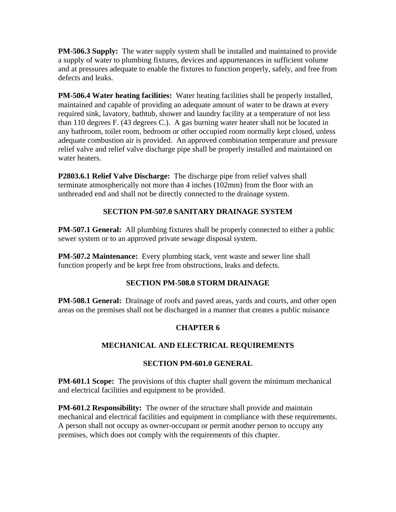**PM-506.3 Supply:** The water supply system shall be installed and maintained to provide a supply of water to plumbing fixtures, devices and appurtenances in sufficient volume and at pressures adequate to enable the fixtures to function properly, safely, and free from defects and leaks.

**PM-506.4 Water heating facilities:** Water heating facilities shall be properly installed, maintained and capable of providing an adequate amount of water to be drawn at every required sink, lavatory, bathtub, shower and laundry facility at a temperature of not less than 110 degrees F. (43 degrees C.). A gas burning water heater shall not be located in any bathroom, toilet room, bedroom or other occupied room normally kept closed, unless adequate combustion air is provided. An approved combination temperature and pressure relief valve and relief valve discharge pipe shall be properly installed and maintained on water heaters.

**P2803.6.1 Relief Valve Discharge:** The discharge pipe from relief valves shall terminate atmospherically not more than 4 inches (102mm) from the floor with an unthreaded end and shall not be directly connected to the drainage system.

## **SECTION PM-507.0 SANITARY DRAINAGE SYSTEM**

**PM-507.1 General:** All plumbing fixtures shall be properly connected to either a public sewer system or to an approved private sewage disposal system.

**PM-507.2 Maintenance:** Every plumbing stack, vent waste and sewer line shall function properly and be kept free from obstructions, leaks and defects.

#### **SECTION PM-508.0 STORM DRAINAGE**

**PM-508.1 General:** Drainage of roofs and paved areas, yards and courts, and other open areas on the premises shall not be discharged in a manner that creates a public nuisance

# **CHAPTER 6**

#### **MECHANICAL AND ELECTRICAL REQUIREMENTS**

#### **SECTION PM-601.0 GENERAL**

**PM-601.1 Scope:** The provisions of this chapter shall govern the minimum mechanical and electrical facilities and equipment to be provided.

**PM-601.2 Responsibility:** The owner of the structure shall provide and maintain mechanical and electrical facilities and equipment in compliance with these requirements. A person shall not occupy as owner-occupant or permit another person to occupy any premises, which does not comply with the requirements of this chapter.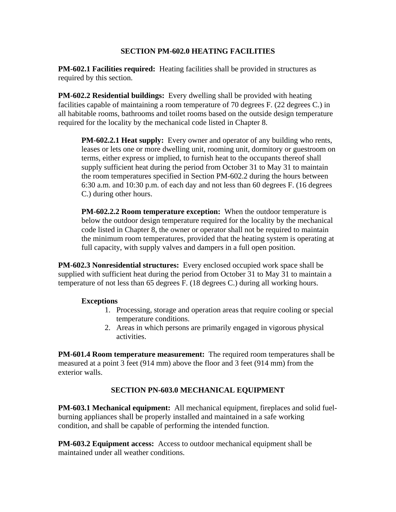#### **SECTION PM-602.0 HEATING FACILITIES**

**PM-602.1 Facilities required:** Heating facilities shall be provided in structures as required by this section.

**PM-602.2 Residential buildings:** Every dwelling shall be provided with heating facilities capable of maintaining a room temperature of 70 degrees F. (22 degrees C.) in all habitable rooms, bathrooms and toilet rooms based on the outside design temperature required for the locality by the mechanical code listed in Chapter 8.

**PM-602.2.1 Heat supply:** Every owner and operator of any building who rents, leases or lets one or more dwelling unit, rooming unit, dormitory or guestroom on terms, either express or implied, to furnish heat to the occupants thereof shall supply sufficient heat during the period from October 31 to May 31 to maintain the room temperatures specified in Section PM-602.2 during the hours between 6:30 a.m. and 10:30 p.m. of each day and not less than 60 degrees F. (16 degrees C.) during other hours.

**PM-602.2.2 Room temperature exception:** When the outdoor temperature is below the outdoor design temperature required for the locality by the mechanical code listed in Chapter 8, the owner or operator shall not be required to maintain the minimum room temperatures, provided that the heating system is operating at full capacity, with supply valves and dampers in a full open position.

**PM-602.3 Nonresidential structures:** Every enclosed occupied work space shall be supplied with sufficient heat during the period from October 31 to May 31 to maintain a temperature of not less than 65 degrees F. (18 degrees C.) during all working hours.

#### **Exceptions**

- 1. Processing, storage and operation areas that require cooling or special temperature conditions.
- 2. Areas in which persons are primarily engaged in vigorous physical activities.

**PM-601.4 Room temperature measurement:** The required room temperatures shall be measured at a point 3 feet (914 mm) above the floor and 3 feet (914 mm) from the exterior walls.

#### **SECTION PN-603.0 MECHANICAL EQUIPMENT**

**PM-603.1 Mechanical equipment:** All mechanical equipment, fireplaces and solid fuelburning appliances shall be properly installed and maintained in a safe working condition, and shall be capable of performing the intended function.

**PM-603.2 Equipment access:** Access to outdoor mechanical equipment shall be maintained under all weather conditions.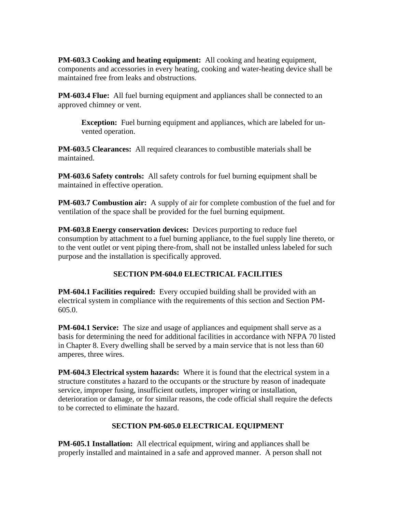**PM-603.3 Cooking and heating equipment:** All cooking and heating equipment, components and accessories in every heating, cooking and water-heating device shall be maintained free from leaks and obstructions.

**PM-603.4 Flue:** All fuel burning equipment and appliances shall be connected to an approved chimney or vent.

**Exception:** Fuel burning equipment and appliances, which are labeled for unvented operation.

**PM-603.5 Clearances:** All required clearances to combustible materials shall be maintained.

**PM-603.6 Safety controls:** All safety controls for fuel burning equipment shall be maintained in effective operation.

**PM-603.7 Combustion air:** A supply of air for complete combustion of the fuel and for ventilation of the space shall be provided for the fuel burning equipment.

**PM-603.8 Energy conservation devices:** Devices purporting to reduce fuel consumption by attachment to a fuel burning appliance, to the fuel supply line thereto, or to the vent outlet or vent piping there-from, shall not be installed unless labeled for such purpose and the installation is specifically approved.

# **SECTION PM-604.0 ELECTRICAL FACILITIES**

**PM-604.1 Facilities required:** Every occupied building shall be provided with an electrical system in compliance with the requirements of this section and Section PM-605.0.

**PM-604.1 Service:** The size and usage of appliances and equipment shall serve as a basis for determining the need for additional facilities in accordance with NFPA 70 listed in Chapter 8. Every dwelling shall be served by a main service that is not less than 60 amperes, three wires.

**PM-604.3 Electrical system hazards:** Where it is found that the electrical system in a structure constitutes a hazard to the occupants or the structure by reason of inadequate service, improper fusing, insufficient outlets, improper wiring or installation, deterioration or damage, or for similar reasons, the code official shall require the defects to be corrected to eliminate the hazard.

#### **SECTION PM-605.0 ELECTRICAL EQUIPMENT**

**PM-605.1 Installation:** All electrical equipment, wiring and appliances shall be properly installed and maintained in a safe and approved manner. A person shall not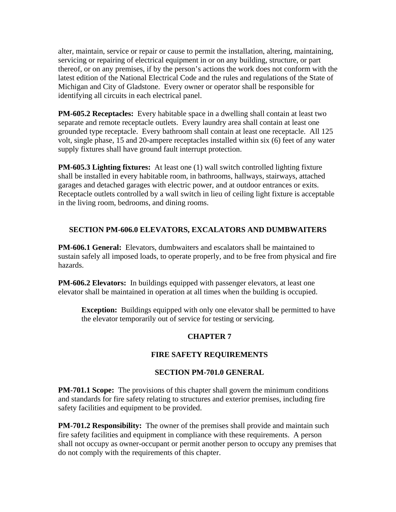alter, maintain, service or repair or cause to permit the installation, altering, maintaining, servicing or repairing of electrical equipment in or on any building, structure, or part thereof, or on any premises, if by the person's actions the work does not conform with the latest edition of the National Electrical Code and the rules and regulations of the State of Michigan and City of Gladstone. Every owner or operator shall be responsible for identifying all circuits in each electrical panel.

**PM-605.2 Receptacles:** Every habitable space in a dwelling shall contain at least two separate and remote receptacle outlets. Every laundry area shall contain at least one grounded type receptacle. Every bathroom shall contain at least one receptacle. All 125 volt, single phase, 15 and 20-ampere receptacles installed within six (6) feet of any water supply fixtures shall have ground fault interrupt protection.

**PM-605.3 Lighting fixtures:** At least one (1) wall switch controlled lighting fixture shall be installed in every habitable room, in bathrooms, hallways, stairways, attached garages and detached garages with electric power, and at outdoor entrances or exits. Receptacle outlets controlled by a wall switch in lieu of ceiling light fixture is acceptable in the living room, bedrooms, and dining rooms.

## **SECTION PM-606.0 ELEVATORS, EXCALATORS AND DUMBWAITERS**

**PM-606.1 General:** Elevators, dumbwaiters and escalators shall be maintained to sustain safely all imposed loads, to operate properly, and to be free from physical and fire hazards.

**PM-606.2 Elevators:** In buildings equipped with passenger elevators, at least one elevator shall be maintained in operation at all times when the building is occupied.

**Exception:** Buildings equipped with only one elevator shall be permitted to have the elevator temporarily out of service for testing or servicing.

#### **CHAPTER 7**

#### **FIRE SAFETY REQUIREMENTS**

#### **SECTION PM-701.0 GENERAL**

**PM-701.1 Scope:** The provisions of this chapter shall govern the minimum conditions and standards for fire safety relating to structures and exterior premises, including fire safety facilities and equipment to be provided.

**PM-701.2 Responsibility:** The owner of the premises shall provide and maintain such fire safety facilities and equipment in compliance with these requirements. A person shall not occupy as owner-occupant or permit another person to occupy any premises that do not comply with the requirements of this chapter.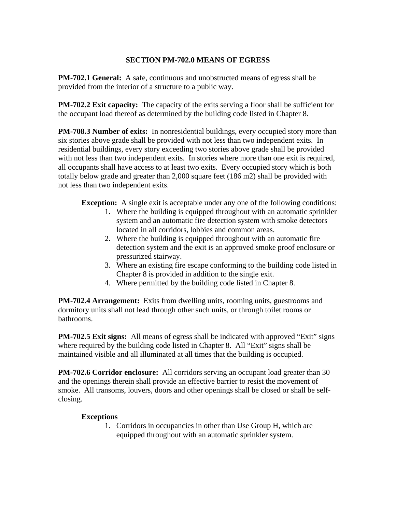#### **SECTION PM-702.0 MEANS OF EGRESS**

**PM-702.1 General:** A safe, continuous and unobstructed means of egress shall be provided from the interior of a structure to a public way.

**PM-702.2 Exit capacity:** The capacity of the exits serving a floor shall be sufficient for the occupant load thereof as determined by the building code listed in Chapter 8.

**PM-708.3 Number of exits:** In nonresidential buildings, every occupied story more than six stories above grade shall be provided with not less than two independent exits. In residential buildings, every story exceeding two stories above grade shall be provided with not less than two independent exits. In stories where more than one exit is required, all occupants shall have access to at least two exits. Every occupied story which is both totally below grade and greater than 2,000 square feet (186 m2) shall be provided with not less than two independent exits.

**Exception:** A single exit is acceptable under any one of the following conditions:

- 1. Where the building is equipped throughout with an automatic sprinkler system and an automatic fire detection system with smoke detectors located in all corridors, lobbies and common areas.
- 2. Where the building is equipped throughout with an automatic fire detection system and the exit is an approved smoke proof enclosure or pressurized stairway.
- 3. Where an existing fire escape conforming to the building code listed in Chapter 8 is provided in addition to the single exit.
- 4. Where permitted by the building code listed in Chapter 8.

**PM-702.4 Arrangement:** Exits from dwelling units, rooming units, guestrooms and dormitory units shall not lead through other such units, or through toilet rooms or bathrooms.

**PM-702.5 Exit signs:** All means of egress shall be indicated with approved "Exit" signs where required by the building code listed in Chapter 8. All "Exit" signs shall be maintained visible and all illuminated at all times that the building is occupied.

**PM-702.6 Corridor enclosure:** All corridors serving an occupant load greater than 30 and the openings therein shall provide an effective barrier to resist the movement of smoke. All transoms, louvers, doors and other openings shall be closed or shall be selfclosing.

#### **Exceptions**

1. Corridors in occupancies in other than Use Group H, which are equipped throughout with an automatic sprinkler system.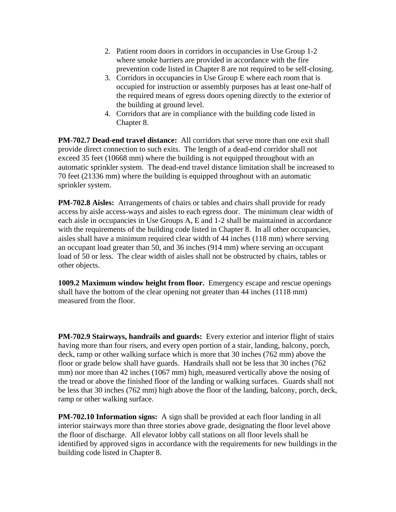- 2. Patient room doors in corridors in occupancies in Use Group 1-2 where smoke barriers are provided in accordance with the fire prevention code listed in Chapter 8 are not required to be self-closing.
- 3. Corridors in occupancies in Use Group E where each room that is occupied for instruction or assembly purposes has at least one-half of the required means of egress doors opening directly to the exterior of the building at ground level.
- 4. Corridors that are in compliance with the building code listed in Chapter 8.

**PM-702.7 Dead-end travel distance:** All corridors that serve more than one exit shall provide direct connection to such exits. The length of a dead-end corridor shall not exceed 35 feet (10668 mm) where the building is not equipped throughout with an automatic sprinkler system. The dead-end travel distance limitation shall be increased to 70 feet (21336 mm) where the building is equipped throughout with an automatic sprinkler system.

**PM-702.8 Aisles:** Arrangements of chairs or tables and chairs shall provide for ready access by aisle access-ways and aisles to each egress door. The minimum clear width of each aisle in occupancies in Use Groups A, E and 1-2 shall be maintained in accordance with the requirements of the building code listed in Chapter 8. In all other occupancies, aisles shall have a minimum required clear width of 44 inches (118 mm) where serving an occupant load greater than 50, and 36 inches (914 mm) where serving an occupant load of 50 or less. The clear width of aisles shall not be obstructed by chairs, tables or other objects.

**1009.2 Maximum window height from floor.** Emergency escape and rescue openings shall have the bottom of the clear opening not greater than 44 inches (1118 mm) measured from the floor.

**PM-702.9 Stairways, handrails and guards:** Every exterior and interior flight of stairs having more than four risers, and every open portion of a stair, landing, balcony, porch, deck, ramp or other walking surface which is more that 30 inches (762 mm) above the floor or grade below shall have guards. Handrails shall not be less that 30 inches (762 mm) nor more than 42 inches (1067 mm) high, measured vertically above the nosing of the tread or above the finished floor of the landing or walking surfaces. Guards shall not be less that 30 inches (762 mm) high above the floor of the landing, balcony, porch, deck, ramp or other walking surface.

**PM-702.10 Information signs:** A sign shall be provided at each floor landing in all interior stairways more than three stories above grade, designating the floor level above the floor of discharge. All elevator lobby call stations on all floor levels shall be identified by approved signs in accordance with the requirements for new buildings in the building code listed in Chapter 8.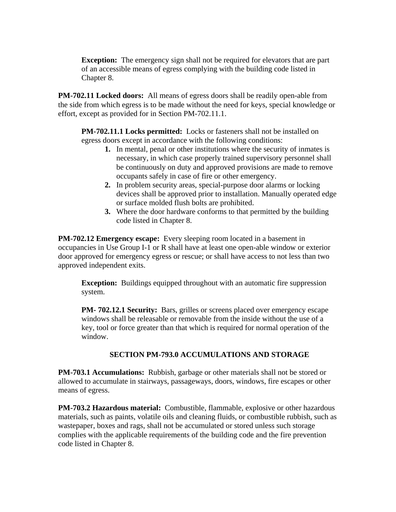**Exception:** The emergency sign shall not be required for elevators that are part of an accessible means of egress complying with the building code listed in Chapter 8.

**PM-702.11 Locked doors:** All means of egress doors shall be readily open-able from the side from which egress is to be made without the need for keys, special knowledge or effort, except as provided for in Section PM-702.11.1.

**PM-702.11.1 Locks permitted:** Locks or fasteners shall not be installed on egress doors except in accordance with the following conditions:

- **1.** In mental, penal or other institutions where the security of inmates is necessary, in which case properly trained supervisory personnel shall be continuously on duty and approved provisions are made to remove occupants safely in case of fire or other emergency.
- **2.** In problem security areas, special-purpose door alarms or locking devices shall be approved prior to installation. Manually operated edge or surface molded flush bolts are prohibited.
- **3.** Where the door hardware conforms to that permitted by the building code listed in Chapter 8.

**PM-702.12 Emergency escape:** Every sleeping room located in a basement in occupancies in Use Group I-1 or R shall have at least one open-able window or exterior door approved for emergency egress or rescue; or shall have access to not less than two approved independent exits.

**Exception:** Buildings equipped throughout with an automatic fire suppression system.

**PM- 702.12.1 Security:** Bars, grilles or screens placed over emergency escape windows shall be releasable or removable from the inside without the use of a key, tool or force greater than that which is required for normal operation of the window.

#### **SECTION PM-793.0 ACCUMULATIONS AND STORAGE**

**PM-703.1 Accumulations:** Rubbish, garbage or other materials shall not be stored or allowed to accumulate in stairways, passageways, doors, windows, fire escapes or other means of egress.

**PM-703.2 Hazardous material:** Combustible, flammable, explosive or other hazardous materials, such as paints, volatile oils and cleaning fluids, or combustible rubbish, such as wastepaper, boxes and rags, shall not be accumulated or stored unless such storage complies with the applicable requirements of the building code and the fire prevention code listed in Chapter 8.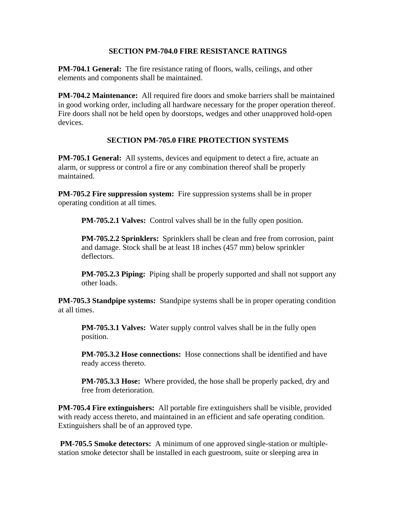#### **SECTION PM-704.0 FIRE RESISTANCE RATINGS**

**PM-704.1 General:** The fire resistance rating of floors, walls, ceilings, and other elements and components shall be maintained.

**PM-704.2 Maintenance:** All required fire doors and smoke barriers shall be maintained in good working order, including all hardware necessary for the proper operation thereof. Fire doors shall not be held open by doorstops, wedges and other unapproved hold-open devices.

## **SECTION PM-705.0 FIRE PROTECTION SYSTEMS**

**PM-705.1 General:** All systems, devices and equipment to detect a fire, actuate an alarm, or suppress or control a fire or any combination thereof shall be properly maintained.

**PM-705.2 Fire suppression system:** Fire suppression systems shall be in proper operating condition at all times.

**PM-705.2.1 Valves:** Control valves shall be in the fully open position.

**PM-705.2.2 Sprinklers:** Sprinklers shall be clean and free from corrosion, paint and damage. Stock shall be at least 18 inches (457 mm) below sprinkler deflectors.

**PM-705.2.3 Piping:** Piping shall be properly supported and shall not support any other loads.

**PM-705.3 Standpipe systems:** Standpipe systems shall be in proper operating condition at all times.

**PM-705.3.1 Valves:** Water supply control valves shall be in the fully open position.

**PM-705.3.2 Hose connections:** Hose connections shall be identified and have ready access thereto.

**PM-705.3.3 Hose:** Where provided, the hose shall be properly packed, dry and free from deterioration.

**PM-705.4 Fire extinguishers:** All portable fire extinguishers shall be visible, provided with ready access thereto, and maintained in an efficient and safe operating condition. Extinguishers shall be of an approved type.

**PM-705.5 Smoke detectors:** A minimum of one approved single-station or multiplestation smoke detector shall be installed in each guestroom, suite or sleeping area in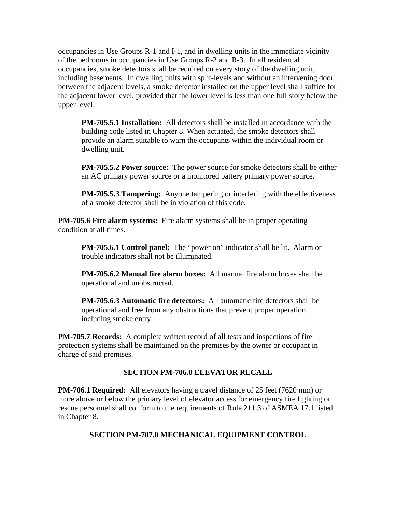occupancies in Use Groups R-1 and I-1, and in dwelling units in the immediate vicinity of the bedrooms in occupancies in Use Groups R-2 and R-3. In all residential occupancies, smoke detectors shall be required on every story of the dwelling unit, including basements. In dwelling units with split-levels and without an intervening door between the adjacent levels, a smoke detector installed on the upper level shall suffice for the adjacent lower level, provided that the lower level is less than one full story below the upper level.

**PM-705.5.1 Installation:** All detectors shall be installed in accordance with the building code listed in Chapter 8. When actuated, the smoke detectors shall provide an alarm suitable to warn the occupants within the individual room or dwelling unit.

**PM-705.5.2 Power source:** The power source for smoke detectors shall be either an AC primary power source or a monitored battery primary power source.

**PM-705.5.3 Tampering:** Anyone tampering or interfering with the effectiveness of a smoke detector shall be in violation of this code.

**PM-705.6 Fire alarm systems:** Fire alarm systems shall be in proper operating condition at all times.

**PM-705.6.1 Control panel:** The "power on" indicator shall be lit. Alarm or trouble indicators shall not be illuminated.

**PM-705.6.2 Manual fire alarm boxes:** All manual fire alarm boxes shall be operational and unobstructed.

**PM-705.6.3 Automatic fire detectors:** All automatic fire detectors shall be operational and free from any obstructions that prevent proper operation, including smoke entry.

**PM-705.7 Records:** A complete written record of all tests and inspections of fire protection systems shall be maintained on the premises by the owner or occupant in charge of said premises.

#### **SECTION PM-706.0 ELEVATOR RECALL**

**PM-706.1 Required:** All elevators having a travel distance of 25 feet (7620 mm) or more above or below the primary level of elevator access for emergency fire fighting or rescue personnel shall conform to the requirements of Rule 211.3 of ASMEA 17.1 listed in Chapter 8.

#### **SECTION PM-707.0 MECHANICAL EQUIPMENT CONTROL**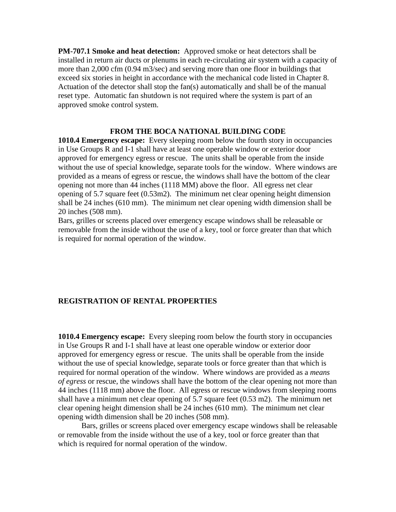**PM-707.1 Smoke and heat detection:** Approved smoke or heat detectors shall be installed in return air ducts or plenums in each re-circulating air system with a capacity of more than 2,000 cfm (0.94 m3/sec) and serving more than one floor in buildings that exceed six stories in height in accordance with the mechanical code listed in Chapter 8. Actuation of the detector shall stop the fan(s) automatically and shall be of the manual reset type. Automatic fan shutdown is not required where the system is part of an approved smoke control system.

#### **FROM THE BOCA NATIONAL BUILDING CODE**

**1010.4 Emergency escape:** Every sleeping room below the fourth story in occupancies in Use Groups R and I-1 shall have at least one operable window or exterior door approved for emergency egress or rescue. The units shall be operable from the inside without the use of special knowledge, separate tools for the window. Where windows are provided as a means of egress or rescue, the windows shall have the bottom of the clear opening not more than 44 inches (1118 MM) above the floor. All egress net clear opening of 5.7 square feet (0.53m2). The minimum net clear opening height dimension shall be 24 inches (610 mm). The minimum net clear opening width dimension shall be 20 inches (508 mm).

Bars, grilles or screens placed over emergency escape windows shall be releasable or removable from the inside without the use of a key, tool or force greater than that which is required for normal operation of the window.

#### **REGISTRATION OF RENTAL PROPERTIES**

**1010.4 Emergency escape:** Every sleeping room below the fourth story in occupancies in Use Groups R and I-1 shall have at least one operable window or exterior door approved for emergency egress or rescue. The units shall be operable from the inside without the use of special knowledge, separate tools or force greater than that which is required for normal operation of the window. Where windows are provided as a *means of egress* or rescue, the windows shall have the bottom of the clear opening not more than 44 inches (1118 mm) above the floor. All egress or rescue windows from sleeping rooms shall have a minimum net clear opening of 5.7 square feet (0.53 m2). The minimum net clear opening height dimension shall be 24 inches (610 mm). The minimum net clear opening width dimension shall be 20 inches (508 mm).

 Bars, grilles or screens placed over emergency escape windows shall be releasable or removable from the inside without the use of a key, tool or force greater than that which is required for normal operation of the window.